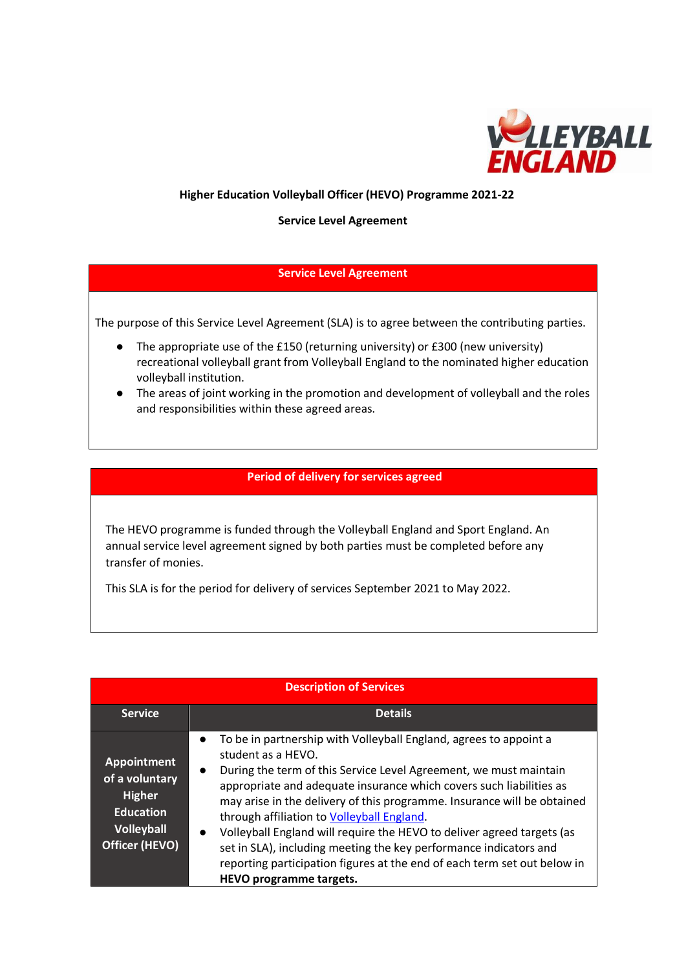

## **Higher Education Volleyball Officer (HEVO) Programme 2021-22**

**Service Level Agreement** 

## **Service Level Agreement**

The purpose of this Service Level Agreement (SLA) is to agree between the contributing parties.

- The appropriate use of the £150 (returning university) or £300 (new university) recreational volleyball grant from Volleyball England to the nominated higher education volleyball institution.
- The areas of joint working in the promotion and development of volleyball and the roles and responsibilities within these agreed areas.

## **Period of delivery for services agreed**

The HEVO programme is funded through the Volleyball England and Sport England. An annual service level agreement signed by both parties must be completed before any transfer of monies.

This SLA is for the period for delivery of services September 2021 to May 2022.

| <b>Description of Services</b>                                                                                   |                                                                                                                                                                                                                                                                                                                                                                                                                                                                                                                                                                                                                                              |  |  |  |  |
|------------------------------------------------------------------------------------------------------------------|----------------------------------------------------------------------------------------------------------------------------------------------------------------------------------------------------------------------------------------------------------------------------------------------------------------------------------------------------------------------------------------------------------------------------------------------------------------------------------------------------------------------------------------------------------------------------------------------------------------------------------------------|--|--|--|--|
| <b>Service</b>                                                                                                   | <b>Details</b>                                                                                                                                                                                                                                                                                                                                                                                                                                                                                                                                                                                                                               |  |  |  |  |
| <b>Appointment</b><br>of a voluntary<br><b>Higher</b><br><b>Education</b><br><b>Volleyball</b><br>Officer (HEVO) | To be in partnership with Volleyball England, agrees to appoint a<br>student as a HEVO.<br>During the term of this Service Level Agreement, we must maintain<br>$\bullet$<br>appropriate and adequate insurance which covers such liabilities as<br>may arise in the delivery of this programme. Insurance will be obtained<br>through affiliation to Volleyball England.<br>Volleyball England will require the HEVO to deliver agreed targets (as<br>$\bullet$<br>set in SLA), including meeting the key performance indicators and<br>reporting participation figures at the end of each term set out below in<br>HEVO programme targets. |  |  |  |  |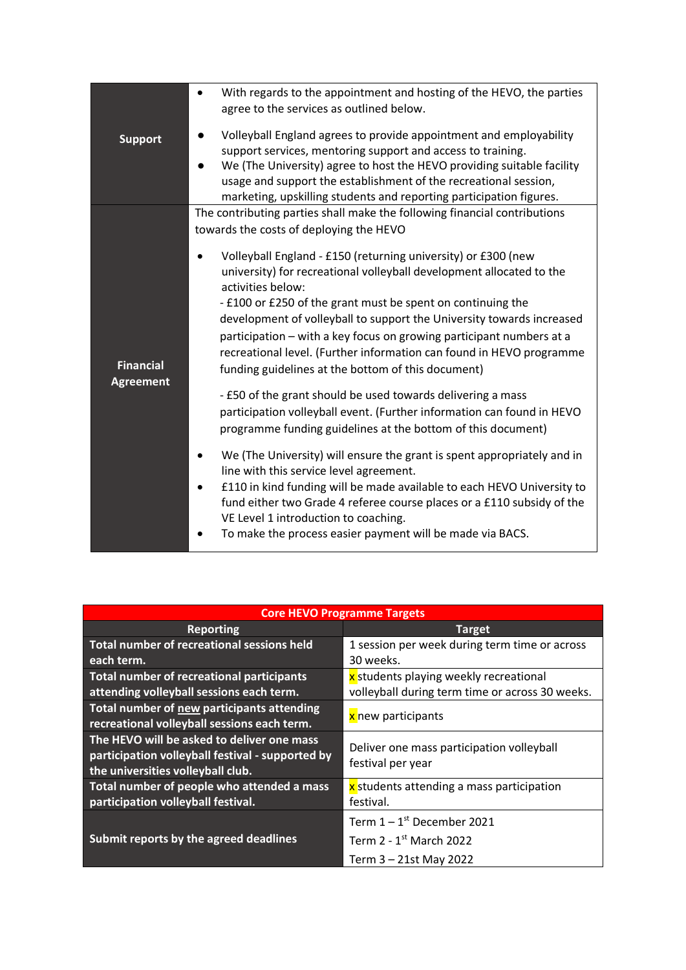| <b>Support</b>   | With regards to the appointment and hosting of the HEVO, the parties<br>agree to the services as outlined below.                  |
|------------------|-----------------------------------------------------------------------------------------------------------------------------------|
|                  | Volleyball England agrees to provide appointment and employability<br>support services, mentoring support and access to training. |
|                  | We (The University) agree to host the HEVO providing suitable facility                                                            |
|                  | usage and support the establishment of the recreational session,                                                                  |
|                  | marketing, upskilling students and reporting participation figures.                                                               |
| <b>Financial</b> | The contributing parties shall make the following financial contributions                                                         |
|                  | towards the costs of deploying the HEVO                                                                                           |
|                  | Volleyball England - £150 (returning university) or £300 (new                                                                     |
|                  | university) for recreational volleyball development allocated to the                                                              |
|                  | activities below:                                                                                                                 |
|                  | - £100 or £250 of the grant must be spent on continuing the                                                                       |
|                  | development of volleyball to support the University towards increased                                                             |
|                  | participation - with a key focus on growing participant numbers at a                                                              |
|                  | recreational level. (Further information can found in HEVO programme<br>funding guidelines at the bottom of this document)        |
| <b>Agreement</b> |                                                                                                                                   |
|                  | - £50 of the grant should be used towards delivering a mass                                                                       |
|                  | participation volleyball event. (Further information can found in HEVO                                                            |
|                  | programme funding guidelines at the bottom of this document)                                                                      |
|                  | We (The University) will ensure the grant is spent appropriately and in                                                           |
|                  | line with this service level agreement.                                                                                           |
|                  | £110 in kind funding will be made available to each HEVO University to                                                            |
|                  | fund either two Grade 4 referee course places or a £110 subsidy of the                                                            |
|                  | VE Level 1 introduction to coaching.<br>To make the process easier payment will be made via BACS.                                 |
|                  |                                                                                                                                   |

| <b>Core HEVO Programme Targets</b>                |                                                 |  |  |  |
|---------------------------------------------------|-------------------------------------------------|--|--|--|
| <b>Reporting</b>                                  | <b>Target</b>                                   |  |  |  |
| <b>Total number of recreational sessions held</b> | 1 session per week during term time or across   |  |  |  |
| each term.                                        | 30 weeks.                                       |  |  |  |
| <b>Total number of recreational participants</b>  | x students playing weekly recreational          |  |  |  |
| attending volleyball sessions each term.          | volleyball during term time or across 30 weeks. |  |  |  |
| Total number of new participants attending        | x new participants                              |  |  |  |
| recreational volleyball sessions each term.       |                                                 |  |  |  |
| The HEVO will be asked to deliver one mass        | Deliver one mass participation volleyball       |  |  |  |
| participation volleyball festival - supported by  | festival per year                               |  |  |  |
| the universities volleyball club.                 |                                                 |  |  |  |
| Total number of people who attended a mass        | x students attending a mass participation       |  |  |  |
| participation volleyball festival.                | festival.                                       |  |  |  |
|                                                   | Term $1 - 1$ <sup>st</sup> December 2021        |  |  |  |
| Submit reports by the agreed deadlines            | Term 2 - $1st$ March 2022                       |  |  |  |
|                                                   | Term 3 – 21st May 2022                          |  |  |  |